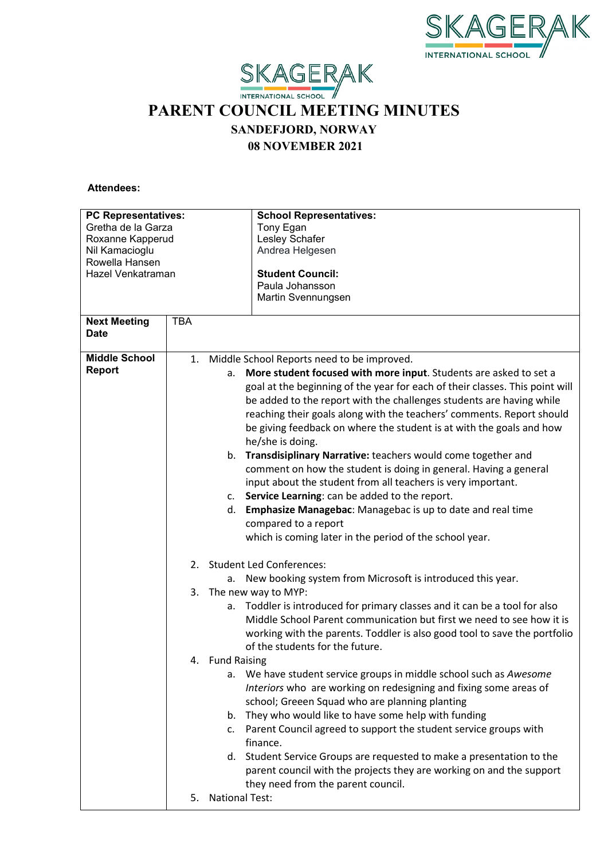



## **PARENT COUNCIL MEETING MINUTES**

**SANDEFJORD, NORWAY**

**08 NOVEMBER 2021**

 **Attendees:**

| <b>PC Representatives:</b><br>Gretha de la Garza<br>Roxanne Kapperud<br>Nil Kamacioglu<br>Rowella Hansen<br>Hazel Venkatraman<br><b>TBA</b> |                 | <b>School Representatives:</b><br>Tony Egan<br>Lesley Schafer<br>Andrea Helgesen<br><b>Student Council:</b><br>Paula Johansson<br>Martin Svennungsen                                                                                                                                                                                                                                                                                                                                                                                                                                                                                                                                                                                                                                                                                                                                                                                                                                                                                                                                                                                                                                                                                                                                                                                                                                                                                                                                                                                                                                                                                                                                                      |
|---------------------------------------------------------------------------------------------------------------------------------------------|-----------------|-----------------------------------------------------------------------------------------------------------------------------------------------------------------------------------------------------------------------------------------------------------------------------------------------------------------------------------------------------------------------------------------------------------------------------------------------------------------------------------------------------------------------------------------------------------------------------------------------------------------------------------------------------------------------------------------------------------------------------------------------------------------------------------------------------------------------------------------------------------------------------------------------------------------------------------------------------------------------------------------------------------------------------------------------------------------------------------------------------------------------------------------------------------------------------------------------------------------------------------------------------------------------------------------------------------------------------------------------------------------------------------------------------------------------------------------------------------------------------------------------------------------------------------------------------------------------------------------------------------------------------------------------------------------------------------------------------------|
| <b>Next Meeting</b><br><b>Date</b>                                                                                                          |                 |                                                                                                                                                                                                                                                                                                                                                                                                                                                                                                                                                                                                                                                                                                                                                                                                                                                                                                                                                                                                                                                                                                                                                                                                                                                                                                                                                                                                                                                                                                                                                                                                                                                                                                           |
| <b>Middle School</b><br><b>Report</b>                                                                                                       | 4. Fund Raising | 1. Middle School Reports need to be improved.<br>More student focused with more input. Students are asked to set a<br>a.<br>goal at the beginning of the year for each of their classes. This point will<br>be added to the report with the challenges students are having while<br>reaching their goals along with the teachers' comments. Report should<br>be giving feedback on where the student is at with the goals and how<br>he/she is doing.<br>Transdisiplinary Narrative: teachers would come together and<br>b.<br>comment on how the student is doing in general. Having a general<br>input about the student from all teachers is very important.<br>Service Learning: can be added to the report.<br>c.<br>Emphasize Managebac: Managebac is up to date and real time<br>d.<br>compared to a report<br>which is coming later in the period of the school year.<br>2. Student Led Conferences:<br>a. New booking system from Microsoft is introduced this year.<br>3. The new way to MYP:<br>Toddler is introduced for primary classes and it can be a tool for also<br>a.<br>Middle School Parent communication but first we need to see how it is<br>working with the parents. Toddler is also good tool to save the portfolio<br>of the students for the future.<br>We have student service groups in middle school such as Awesome<br>a.<br>Interiors who are working on redesigning and fixing some areas of<br>school; Greeen Squad who are planning planting<br>b. They who would like to have some help with funding<br>Parent Council agreed to support the student service groups with<br>c.<br>finance.<br>d. Student Service Groups are requested to make a presentation to the |
|                                                                                                                                             | 5.              | parent council with the projects they are working on and the support<br>they need from the parent council.<br><b>National Test:</b>                                                                                                                                                                                                                                                                                                                                                                                                                                                                                                                                                                                                                                                                                                                                                                                                                                                                                                                                                                                                                                                                                                                                                                                                                                                                                                                                                                                                                                                                                                                                                                       |